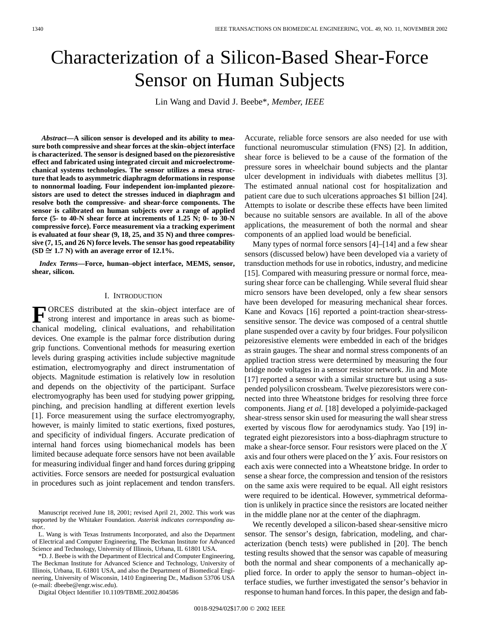# Characterization of a Silicon-Based Shear-Force Sensor on Human Subjects

Lin Wang and David J. Beebe\**, Member, IEEE*

*Abstract—***A silicon sensor is developed and its ability to measure both compressive and shear forces at the skin–object interface is characterized. The sensor is designed based on the piezoresistive effect and fabricated using integrated circuit and microelectromechanical systems technologies. The sensor utilizes a mesa structure that leads to asymmetric diaphragm deformations in response to nonnormal loading. Four independent ion-implanted piezoresistors are used to detect the stresses induced in diaphragm and resolve both the compressive- and shear-force components. The sensor is calibrated on human subjects over a range of applied force (5- to 40-N shear force at increments of 1.25 N; 0- to 30-N compressive force). Force measurement via a tracking experiment is evaluated at four shear (9, 18, 25, and 35 N) and three compressive (7, 15, and 26 N) force levels. The sensor has good repeatability**  $(SD \cong 1.7 \text{ N})$  with an average error of 12.1%.

*Index Terms—***Force, human–object interface, MEMS, sensor, shear, silicon.**

#### I. INTRODUCTION

**F** ORCES distributed at the skin–object interface are of strong interest and importance in areas such as biomechanical modeling, clinical evaluations, and rehabilitation devices. One example is the palmar force distribution during grip functions. Conventional methods for measuring exertion levels during grasping activities include subjective magnitude estimation, electromyography and direct instrumentation of objects. Magnitude estimation is relatively low in resolution and depends on the objectivity of the participant. Surface electromyography has been used for studying power gripping, pinching, and precision handling at different exertion levels [1]. Force measurement using the surface electromyography, however, is mainly limited to static exertions, fixed postures, and specificity of individual fingers. Accurate predication of internal hand forces using biomechanical models has been limited because adequate force sensors have not been available for measuring individual finger and hand forces during gripping activities. Force sensors are needed for postsurgical evaluation in procedures such as joint replacement and tendon transfers.

Manuscript received June 18, 2001; revised April 21, 2002. This work was supported by the Whitaker Foundation. *Asterisk indicates corresponding author.*.

L. Wang is with Texas Instruments Incorporated, and also the Department of Electrical and Computer Engineering, The Beckman Institute for Advanced Science and Technology, University of Illinois, Urbana, IL 61801 USA.

\*D. J. Beebe is with the Department of Electrical and Computer Engineering, The Beckman Institute for Advanced Science and Technology, University of Illinois, Urbana, IL 61801 USA, and also the Department of Biomedical Engineering, University of Wisconsin, 1410 Engineering Dr., Madison 53706 USA (e-mail: dbeebe@engr.wisc.edu).

Digital Object Identifier 10.1109/TBME.2002.804586

Accurate, reliable force sensors are also needed for use with functional neuromuscular stimulation (FNS) [2]. In addition, shear force is believed to be a cause of the formation of the pressure sores in wheelchair bound subjects and the plantar ulcer development in individuals with diabetes mellitus [3]. The estimated annual national cost for hospitalization and patient care due to such ulcerations approaches \$1 billion [24]. Attempts to isolate or describe these effects have been limited because no suitable sensors are available. In all of the above applications, the measurement of both the normal and shear components of an applied load would be beneficial.

Many types of normal force sensors [4]–[14] and a few shear sensors (discussed below) have been developed via a variety of transduction methods for use in robotics, industry, and medicine [15]. Compared with measuring pressure or normal force, measuring shear force can be challenging. While several fluid shear micro sensors have been developed, only a few shear sensors have been developed for measuring mechanical shear forces. Kane and Kovacs [16] reported a point-traction shear-stresssensitive sensor. The device was composed of a central shuttle plane suspended over a cavity by four bridges. Four polysilicon peizoresistive elements were embedded in each of the bridges as strain gauges. The shear and normal stress components of an applied traction stress were determined by measuring the four bridge node voltages in a sensor resistor network. Jin and Mote [17] reported a sensor with a similar structure but using a suspended polysilicon crossbeam. Twelve piezoresistors were connected into three Wheatstone bridges for resolving three force components. Jiang *et al.* [18] developed a polyimide-packaged shear-stress sensor skin used for measuring the wall shear stress exerted by viscous flow for aerodynamics study. Yao [19] integrated eight piezoresistors into a boss-diaphragm structure to make a shear-force sensor. Four resistors were placed on the  $X$ axis and four others were placed on the  $Y$  axis. Four resistors on each axis were connected into a Wheatstone bridge. In order to sense a shear force, the compression and tension of the resistors on the same axis were required to be equal. All eight resistors were required to be identical. However, symmetrical deformation is unlikely in practice since the resistors are located neither in the middle plane nor at the center of the diaphragm.

We recently developed a silicon-based shear-sensitive micro sensor. The sensor's design, fabrication, modeling, and characterization (bench tests) were published in [20]. The bench testing results showed that the sensor was capable of measuring both the normal and shear components of a mechanically applied force. In order to apply the sensor to human–object interface studies, we further investigated the sensor's behavior in response to human hand forces. In this paper, the design and fab-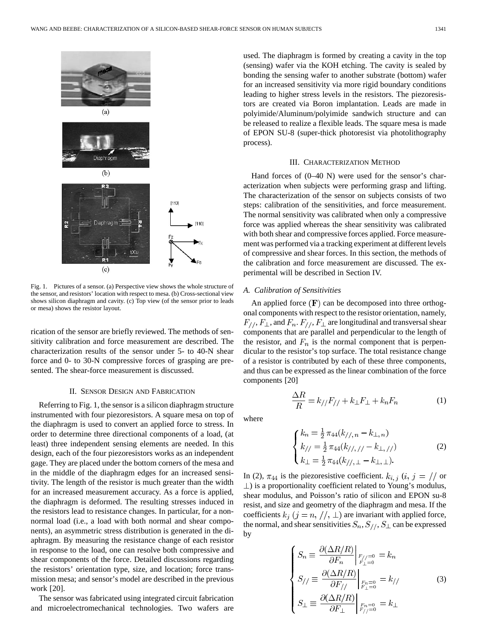

Fig. 1. Pictures of a sensor. (a) Perspective view shows the whole structure of the sensor, and resistors' location with respect to mesa. (b) Cross-sectional view shows silicon diaphragm and cavity. (c) Top view (of the sensor prior to leads or mesa) shows the resistor layout.

rication of the sensor are briefly reviewed. The methods of sensitivity calibration and force measurement are described. The characterization results of the sensor under 5- to 40-N shear force and 0- to 30-N compressive forces of grasping are presented. The shear-force measurement is discussed.

# II. SENSOR DESIGN AND FABRICATION

Referring to Fig. 1, the sensor is a silicon diaphragm structure instrumented with four piezoresistors. A square mesa on top of the diaphragm is used to convert an applied force to stress. In order to determine three directional components of a load, (at least) three independent sensing elements are needed. In this design, each of the four piezoresistors works as an independent gage. They are placed under the bottom corners of the mesa and in the middle of the diaphragm edges for an increased sensitivity. The length of the resistor is much greater than the width for an increased measurement accuracy. As a force is applied, the diaphragm is deformed. The resulting stresses induced in the resistors lead to resistance changes. In particular, for a nonnormal load (i.e., a load with both normal and shear components), an asymmetric stress distribution is generated in the diaphragm. By measuring the resistance change of each resistor in response to the load, one can resolve both compressive and shear components of the force. Detailed discussions regarding the resistors' orientation type, size, and location; force transmission mesa; and sensor's model are described in the previous work [20].

The sensor was fabricated using integrated circuit fabrication and microelectromechanical technologies. Two wafers are used. The diaphragm is formed by creating a cavity in the top (sensing) wafer via the KOH etching. The cavity is sealed by bonding the sensing wafer to another substrate (bottom) wafer for an increased sensitivity via more rigid boundary conditions leading to higher stress levels in the resistors. The piezoresistors are created via Boron implantation. Leads are made in polyimide/Aluminum/polyimide sandwich structure and can be released to realize a flexible leads. The square mesa is made of EPON SU-8 (super-thick photoresist via photolithography process).

#### III. CHARACTERIZATION METHOD

Hand forces of  $(0-40 \text{ N})$  were used for the sensor's characterization when subjects were performing grasp and lifting. The characterization of the sensor on subjects consists of two steps: calibration of the sensitivities, and force measurement. The normal sensitivity was calibrated when only a compressive force was applied whereas the shear sensitivity was calibrated with both shear and compressive forces applied. Force measurement was performed via a tracking experiment at different levels of compressive and shear forces. In this section, the methods of the calibration and force measurement are discussed. The experimental will be described in Section IV.

#### *A. Calibration of Sensitivities*

An applied force  $(F)$  can be decomposed into three orthogonal components with respect to the resistor orientation, namely,  $F_{//}, F_{\perp}$ , and  $F_n$ .  $F_{//}, F_{\perp}$  are longitudinal and transversal shear components that are parallel and perpendicular to the length of the resistor, and  $F_n$  is the normal component that is perpendicular to the resistor's top surface. The total resistance change of a resistor is contributed by each of these three components, and thus can be expressed as the linear combination of the force components [20]

 $\frac{\Delta R}{R} = k_{//}F_{//} + k_{\perp}F_{\perp} + k_{n}F_{n}$ 

where

$$
\begin{cases} k_n = \frac{1}{2} \pi_{44}(k_{//, n} - k_{\perp, n}) \\ k_{//} = \frac{1}{2} \pi_{44}(k_{//, //} - k_{\perp, //}) \\ k_{\perp} = \frac{1}{2} \pi_{44}(k_{//, \perp} - k_{\perp, \perp}). \end{cases}
$$
 (2)

In (2),  $\pi_{44}$  is the piezoresistive coefficient.  $k_{i, j}$  (i,  $j = \frac{1}{\pi}$  or  $\perp$ ) is a proportionality coefficient related to Young's modulus, shear modulus, and Poisson's ratio of silicon and EPON su-8 resist, and size and geometry of the diaphragm and mesa. If the coefficients  $k_j$   $(j = n, //, \perp)$  are invariant with applied force, the normal, and shear sensitivities  $S_n, S_{//}, S_{\perp}$  can be expressed by

$$
\begin{cases}\nS_n \equiv \frac{\partial (\Delta R/R)}{\partial F_n} \Big|_{F_{\perp}=0}^{F_{\perp}=0} = k_n \\
S_{//} \equiv \frac{\partial (\Delta R/R)}{\partial F_{//}} \Big|_{F_{\perp}=0}^{F_{n}=0} = k_{//} \\
S_{\perp} \equiv \frac{\partial (\Delta R/R)}{\partial F_{\perp}} \Big|_{F_{//}=0}^{F_{n}=0} = k_{\perp}\n\end{cases}
$$
\n(3)

(1)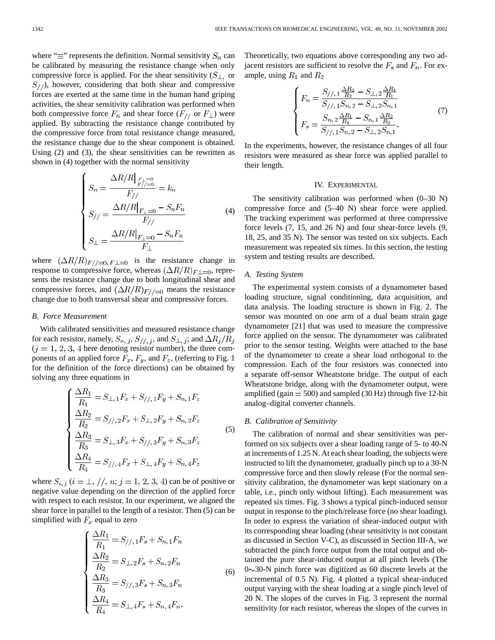where " $\equiv$ " represents the definition. Normal sensitivity  $S_n$  can be calibrated by measuring the resistance change when only compressive force is applied. For the shear sensitivity  $(S_{\perp})$  or  $S_{1/2}$ , however, considering that both shear and compressive forces are exerted at the same time in the human hand griping activities, the shear sensitivity calibration was performed when both compressive force  $F_n$  and shear force  $(F_1)$  or  $F_\perp$ ) were applied. By subtracting the resistance change contributed by the compressive force from total resistance change measured, the resistance change due to the shear component is obtained. Using (2) and (3), the shear sensitivities can be rewritten as shown in (4) together with the normal sensitivity

$$
\begin{cases}\nS_n = \frac{\Delta R/R|_{F_{\perp}=0}}{F_{//}} = k_n \\
S_{//} = \frac{\Delta R/R|_{F_{\perp}=0} - S_n F_n}{F_{//}} \\
S_{\perp} = \frac{\Delta R/R|_{F_{\perp}=0} - S_n F_n}{F_{\perp}}\n\end{cases} \tag{4}
$$

where  $(\Delta R/R)_{F//=0, F \perp=0}$  is the resistance change in response to compressive force, whereas  $(\Delta R/R)_{F\perp=0}$ , represents the resistance change due to both longitudinal shear and compressive forces, and  $(\Delta R/R)_{F//=0}$  means the resistance change due to both transversal shear and compressive forces.

# *B. Force Measurement*

With calibrated sensitivities and measured resistance change for each resistor, namely,  $S_{n, j}$ ,  $S_{//, j}$ , and  $S_{\perp, j}$ ; and  $\Delta R_j/R_j$  $(j = 1, 2, 3, 4$  here denoting resistor number), the three components of an applied force  $F_x$ ,  $F_y$ , and  $F_z$ , (referring to Fig. 1) for the definition of the force directions) can be obtained by solving any three equations in

$$
\begin{cases}\n\frac{\Delta R_1}{R_1} = S_{\perp,1} F_x + S_{//,1} F_y + S_{n,1} F_z \\
\frac{\Delta R_2}{R_2} = S_{//,2} F_x + S_{\perp,2} F_y + S_{n,2} F_z \\
\frac{\Delta R_3}{R_3} = S_{\perp,3} F_x + S_{//,3} F_y + S_{n,3} F_z \\
\frac{\Delta R_4}{R_4} = S_{//,4} F_x + S_{\perp,4} F_y + S_{n,4} F_z\n\end{cases}
$$
\n(5)

where  $S_{i,j}$   $(i = \perp, \frac{1}{n}; j = 1, 2, 3, 4)$  can be of positive or negative value depending on the direction of the applied force with respect to each resistor. In our experiment, we aligned the shear force in parallel to the length of a resistor. Then (5) can be simplified with  $F_x$  equal to zero

$$
\frac{\Delta R_1}{R_1} = S_{//,1}F_s + S_{n,1}F_n
$$
  
\n
$$
\frac{\Delta R_2}{R_2} = S_{\perp,2}F_s + S_{n,2}F_n
$$
  
\n
$$
\frac{\Delta R_3}{R_3} = S_{//,3}F_s + S_{n,3}F_n
$$
  
\n
$$
\frac{\Delta R_4}{R_4} = S_{\perp,4}F_s + S_{n,4}F_n.
$$
\n(6)

Theoretically, two equations above corresponding any two adjacent resistors are sufficient to resolve the  $F_s$  and  $F_n$ . For example, using  $R_1$  and  $R_2$ 

$$
\begin{cases}\nF_n = \frac{S_{//,1} \frac{\Delta R_2}{R_2} - S_{\perp,2} \frac{\Delta R_1}{R_1}}{S_{//,1} S_{n,2} - S_{\perp,2} S_{n,1}} \\
F_s = \frac{S_{n,2} \frac{\Delta R_1}{R_1} - S_{n,1} \frac{\Delta R_2}{R_2}}{S_{//,1} S_{n,2} - S_{\perp,2} S_{n,1}}.\n\end{cases} \tag{7}
$$

In the experiments, however, the resistance changes of all four resistors were measured as shear force was applied parallel to their length.

## IV. EXPERIMENTAL

The sensitivity calibration was performed when  $(0-30 N)$ compressive force and (5–40 N) shear force were applied. The tracking experiment was performed at three compressive force levels (7, 15, and 26 N) and four shear-force levels (9, 18, 25, and 35 N). The sensor was tested on six subjects. Each measurement was repeated six times. In this section, the testing system and testing results are described.

## *A. Testing System*

The experimental system consists of a dynamometer based loading structure, signal conditioning, data acquisition, and data analysis. The loading structure is shown in Fig. 2. The sensor was mounted on one arm of a dual beam strain gage dynamometer [21] that was used to measure the compressive force applied on the sensor. The dynamometer was calibrated prior to the sensor testing. Weights were attached to the base of the dynamometer to create a shear load orthogonal to the compression. Each of the four resistors was connected into a separate off-sensor Wheatstone bridge. The output of each Wheatstone bridge, along with the dynamometer output, were amplified (gain  $= 500$ ) and sampled (30 Hz) through five 12-bit analog–digital converter channels.

# *B. Calibration of Sensitivity*

The calibration of normal and shear sensitivities was performed on six subjects over a shear loading range of 5- to 40-N at increments of 1.25 N. At each shear loading, the subjects were instructed to lift the dynamometer, gradually pinch up to a 30-N compressive force and then slowly release (For the normal sensitivity calibration, the dynamometer was kept stationary on a table, i.e., pinch only without lifting). Each measurement was repeated six times. Fig. 3 shows a typical pinch-induced sensor output in response to the pinch/release force (no shear loading). In order to express the variation of shear-induced output with its corresponding shear loading (shear sensitivity is not constant as discussed in Section V-C), as discussed in Section III-A, we subtracted the pinch force output from the total output and obtained the pure shear-induced output at all pinch levels (The  $0 \sim 30$ -N pinch force was digitized as 60 discrete levels at the incremental of 0.5 N). Fig. 4 plotted a typical shear-induced output varying with the shear loading at a single pinch level of 20 N. The slopes of the curves in Fig. 3 represent the normal sensitivity for each resistor, whereas the slopes of the curves in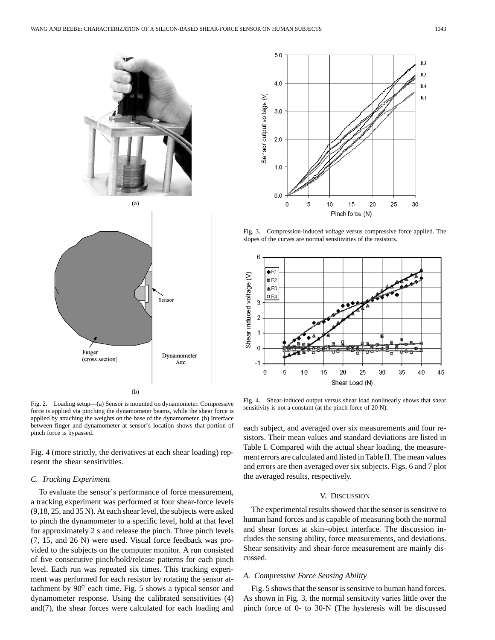

Fig. 2. Loading setup—(a) Sensor is mounted on dynamometer. Compressive force is applied via pinching the dynamometer beams, while the shear force is applied by attaching the weights on the base of the dynamometer. (b) Interface between finger and dynamometer at sensor's location shows that portion of pinch force is bypassed.

Fig. 4 (more strictly, the derivatives at each shear loading) represent the shear sensitivities.

## *C. Tracking Experiment*

To evaluate the sensor's performance of force measurement, a tracking experiment was performed at four shear-force levels (9,18, 25, and 35 N). At each shear level, the subjects were asked to pinch the dynamometer to a specific level, hold at that level for approximately 2 s and release the pinch. Three pinch levels (7, 15, and 26 N) were used. Visual force feedback was provided to the subjects on the computer monitor. A run consisted of five consecutive pinch/hold/release patterns for each pinch level. Each run was repeated six times. This tracking experiment was performed for each resistor by rotating the sensor attachment by  $90^\circ$  each time. Fig. 5 shows a typical sensor and dynamometer response. Using the calibrated sensitivities (4) and(7), the shear forces were calculated for each loading and



Fig. 3. Compression-induced voltage versus compressive force applied. The slopes of the curves are normal sensitivities of the resistors.



Fig. 4. Shear-induced output versus shear load nonlinearly shows that shear sensitivity is not a constant (at the pinch force of 20 N).

each subject, and averaged over six measurements and four resistors. Their mean values and standard deviations are listed in Table I. Compared with the actual shear loading, the measurement errors are calculated and listed in Table II. The mean values and errors are then averaged over six subjects. Figs. 6 and 7 plot the averaged results, respectively.

#### V. DISCUSSION

The experimental results showed that the sensor is sensitive to human hand forces and is capable of measuring both the normal and shear forces at skin–object interface. The discussion includes the sensing ability, force measurements, and deviations. Shear sensitivity and shear-force measurement are mainly discussed.

#### *A. Compressive Force Sensing Ability*

Fig. 5 shows that the sensor is sensitive to human hand forces. As shown in Fig. 3, the normal sensitivity varies little over the pinch force of 0- to 30-N (The hysteresis will be discussed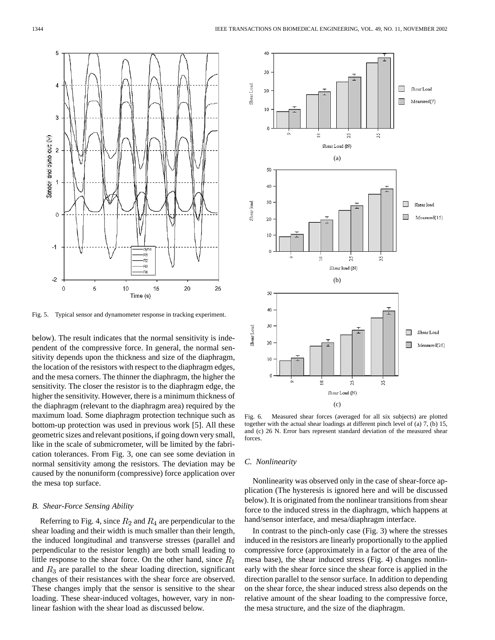

Fig. 5. Typical sensor and dynamometer response in tracking experiment.

below). The result indicates that the normal sensitivity is independent of the compressive force. In general, the normal sensitivity depends upon the thickness and size of the diaphragm, the location of the resistors with respect to the diaphragm edges, and the mesa corners. The thinner the diaphragm, the higher the sensitivity. The closer the resistor is to the diaphragm edge, the higher the sensitivity. However, there is a minimum thickness of the diaphragm (relevant to the diaphragm area) required by the maximum load. Some diaphragm protection technique such as bottom-up protection was used in previous work [5]. All these geometric sizes and relevant positions, if going down very small, like in the scale of submicrometer, will be limited by the fabrication tolerances. From Fig. 3, one can see some deviation in normal sensitivity among the resistors. The deviation may be caused by the nonuniform (compressive) force application over the mesa top surface.

# *B. Shear-Force Sensing Ability*

Referring to Fig. 4, since  $R_2$  and  $R_4$  are perpendicular to the shear loading and their width is much smaller than their length, the induced longitudinal and transverse stresses (parallel and perpendicular to the resistor length) are both small leading to little response to the shear force. On the other hand, since  $R_1$ and  $R_3$  are parallel to the shear loading direction, significant changes of their resistances with the shear force are observed. These changes imply that the sensor is sensitive to the shear loading. These shear-induced voltages, however, vary in nonlinear fashion with the shear load as discussed below.



Fig. 6. Measured shear forces (averaged for all six subjects) are plotted together with the actual shear loadings at different pinch level of (a) 7, (b) 15, and (c) 26 N. Error bars represent standard deviation of the measured shear forces.

## *C. Nonlinearity*

Nonlinearity was observed only in the case of shear-force application (The hysteresis is ignored here and will be discussed below). It is originated from the nonlinear transitions from shear force to the induced stress in the diaphragm, which happens at hand/sensor interface, and mesa/diaphragm interface.

In contrast to the pinch-only case (Fig. 3) where the stresses induced in the resistors are linearly proportionally to the applied compressive force (approximately in a factor of the area of the mesa base), the shear induced stress (Fig. 4) changes nonlinearly with the shear force since the shear force is applied in the direction parallel to the sensor surface. In addition to depending on the shear force, the shear induced stress also depends on the relative amount of the shear loading to the compressive force, the mesa structure, and the size of the diaphragm.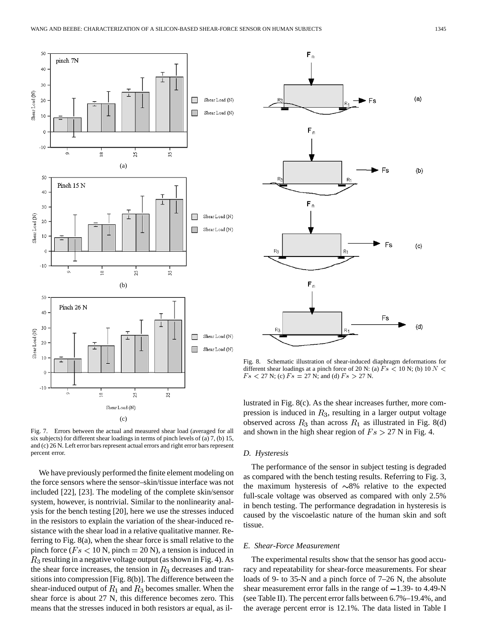



We have previously performed the finite element modeling on the force sensors where the sensor–skin/tissue interface was not included [22], [23]. The modeling of the complete skin/sensor system, however, is nontrivial. Similar to the nonlinearity analysis for the bench testing [20], here we use the stresses induced in the resistors to explain the variation of the shear-induced resistance with the shear load in a relative qualitative manner. Referring to Fig. 8(a), when the shear force is small relative to the pinch force ( $Fs < 10$  N, pinch = 20 N), a tension is induced in  $R_3$  resulting in a negative voltage output (as shown in Fig. 4). As the shear force increases, the tension in  $R_3$  decreases and transitions into compression [Fig. 8(b)]. The difference between the shear-induced output of  $R_1$  and  $R_3$  becomes smaller. When the shear force is about 27 N, this difference becomes zero. This means that the stresses induced in both resistors ar equal, as il-



Fig. 8. Schematic illustration of shear-induced diaphragm deformations for different shear loadings at a pinch force of 20 N: (a)  $Fs$  < 10 N; (b) 10 N <  $Fs < 27$  N; (c)  $Fs = 27$  N; and (d)  $Fs > 27$  N.

lustrated in Fig. 8(c). As the shear increases further, more compression is induced in  $R_3$ , resulting in a larger output voltage observed across  $R_3$  than across  $R_1$  as illustrated in Fig. 8(d) and shown in the high shear region of  $Fs > 27$  N in Fig. 4.

#### *D. Hysteresis*

The performance of the sensor in subject testing is degraded as compared with the bench testing results. Referring to Fig. 3, the maximum hysteresis of  $\sim 8\%$  relative to the expected full-scale voltage was observed as compared with only 2.5% in bench testing. The performance degradation in hysteresis is caused by the viscoelastic nature of the human skin and soft tissue.

## *E. Shear-Force Measurement*

The experimental results show that the sensor has good accuracy and repeatability for shear-force measurements. For shear loads of 9- to 35-N and a pinch force of 7–26 N, the absolute shear measurement error falls in the range of  $-1.39$ - to 4.49-N (see Table II). The percent error falls between 6.7%–19.4%, and the average percent error is 12.1%. The data listed in Table I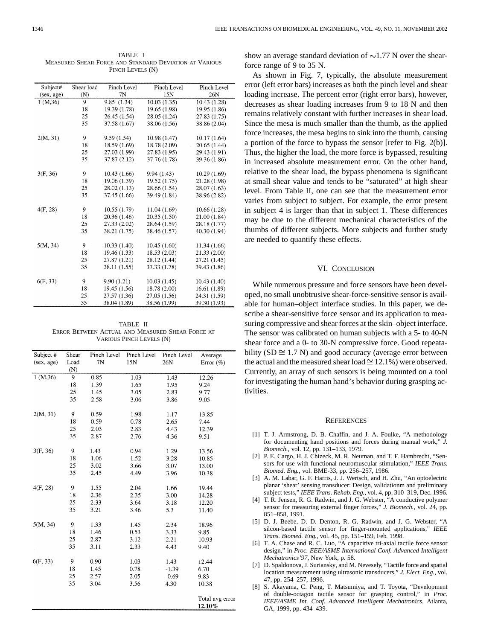TABLE I MEASURED SHEAR FORCE AND STANDARD DEVIATION AT VARIOUS PINCH LEVELS (N)

| Subject#   | Shear load | Pinch Level  | Pinch Level  | Pinch Level  |
|------------|------------|--------------|--------------|--------------|
| (sex, age) | (N)        | 7N           | 15N          | 26N          |
| 1 (M, 36)  | 9          | 9.85(1.34)   | 10.03(1.35)  | 10.43 (1.28) |
|            | 18         | 19.39 (1.78) | 19.65 (1.98) | 19.95 (1.86) |
|            | 25         | 26.45 (1.54) | 28.05 (1.24) | 27.83 (1.75) |
|            | 35         | 37.58 (1.67) | 38.06 (1.56) | 38.86 (2.04) |
|            |            |              |              |              |
| 2(M, 31)   | 9          | 9.59(1.54)   | 10.98 (1.47) | 10.17(1.64)  |
|            | 18         | 18.59 (1.69) | 18.78 (2.09) | 20.65(1.44)  |
|            | 25         | 27.03 (1.99) | 27.83 (1.95) | 29.43 (1.91) |
|            | 35         | 37.87 (2.12) | 37.76 (1.78) | 39.36 (1.86) |
|            |            |              |              |              |
| 3(F, 36)   | 9          | 10.43 (1.66) | 9.94(1.43)   | 10.29(1.69)  |
|            | 18         | 19.06 (1.39) | 19.52 (1.75) | 21.28 (1.98) |
|            | 25         | 28.02 (1.13) | 28.66 (1.54) | 28.07 (1.63) |
|            | 35         | 37.45 (1.66) | 39.49 (1.84) | 38.96 (2.82) |
|            |            |              |              |              |
| 4(F, 28)   | 9          | 10.55 (1.79) | 11.04 (1.69) | 10.66 (1.28) |
|            | 18         | 20.36 (1.46) | 20.35 (1.50) | 21.00 (1.84) |
|            | 25         | 27.33 (2.02) | 28.64 (1.59) | 28.18 (1.77) |
|            | 35         | 38.21 (1.75) | 38.46 (1.57) | 40.30 (1.94) |
|            |            |              |              |              |
| 5(M, 34)   | 9          | 10.33(1.40)  | 10.45(1.60)  | 11.34(1.66)  |
|            | 18         | 19.46 (1.33) | 18.53 (2.03) | 21.33 (2.00) |
|            | 25         | 27.87 (1.21) | 28.12 (1.44) | 27.21 (1.45) |
|            | 35         | 38.11 (1.55) | 37.33 (1.78) | 39.43 (1.86) |
|            |            |              |              |              |
| 6(F, 33)   | 9          | 9.90(1.21)   | 10.03(1.45)  | 10.43 (1.40) |
|            | 18         | 19.45 (1.56) | 18.78 (2.00) | 16.61 (1.89) |
|            | 25         | 27.57 (1.36) | 27.05 (1.56) | 24.31 (1.59) |
|            | 35         | 38.04 (1.89) | 38.56 (1.99) | 39.30 (1.93) |

TABLE II ERROR BETWEEN ACTUAL AND MEASURED SHEAR FORCE AT VARIOUS PINCH LEVELS (N)

| Subject #  | Shear | Pinch Level | Pinch Level | Pinch Level | Average                   |
|------------|-------|-------------|-------------|-------------|---------------------------|
| (sex, age) | Load  | 7N          | 15N         | 26N         | Error $(\% )$             |
|            | (N)   |             |             |             |                           |
| 1 (M, 36)  | 9     | 0.85        | 1.03        | 1.43        | 12.26                     |
|            | 18    | 1.39        | 1.65        | 1.95        | 9.24                      |
|            | 25    | 1.45        | 3.05        | 2.83        | 9.77                      |
|            | 35    | 2.58        | 3.06        | 3.86        | 9.05                      |
| 2(M, 31)   | 9     | 0.59        | 1.98        | 1.17        | 13.85                     |
|            | 18    | 0.59        | 0.78        | 2.65        | 7.44                      |
|            | 25    | 2.03        | 2.83        | 4.43        | 12.39                     |
|            | 35    | 2.87        | 2.76        | 4.36        | 9.51                      |
| 3(F, 36)   | 9     | 1.43        | 0.94        | 1.29        | 13.56                     |
|            | 18    | 1.06        | 1.52        | 3.28        | 10.85                     |
|            | 25    | 3.02        | 3.66        | 3.07        | 13.00                     |
|            | 35    | 2.45        | 4.49        | 3.96        | 10.38                     |
| 4(F, 28)   | 9     | 1.55        | 2.04        | 1.66        | 19.44                     |
|            | 18    | 2.36        | 2.35        | 3.00        | 14.28                     |
|            | 25    | 2.33        | 3.64        | 3.18        | 12.20                     |
|            | 35    | 3.21        | 3.46        | 5.3         | 11.40                     |
| 5(M, 34)   | 9     | 1.33        | 1.45        | 2.34        | 18.96                     |
|            | 18    | 1.46        | 0.53        | 3.33        | 9.85                      |
|            | 25    | 2.87        | 3.12        | 2.21        | 10.93                     |
|            | 35    | 3.11        | 2.33        | 4.43        | 9.40                      |
| 6(F, 33)   | 9     | 0.90        | 1.03        | 1.43        | 12.44                     |
|            | 18    | 1.45        | 0.78        | $-1.39$     | 6.70                      |
|            | 25    | 2.57        | 2.05        | $-0.69$     | 9.83                      |
|            | 35    | 3.04        | 3.56        | 4.30        | 10.38                     |
|            |       |             |             |             | Total avg error<br>12.10% |

show an average standard deviation of  $\sim$ 1.77 N over the shearforce range of 9 to 35 N.

As shown in Fig. 7, typically, the absolute measurement error (left error bars) increases as both the pinch level and shear loading increase. The percent error (right error bars), however, decreases as shear loading increases from 9 to 18 N and then remains relatively constant with further increases in shear load. Since the mesa is much smaller than the thumb, as the applied force increases, the mesa begins to sink into the thumb, causing a portion of the force to bypass the sensor [refer to Fig. 2(b)]. Thus, the higher the load, the more force is bypassed, resulting in increased absolute measurement error. On the other hand, relative to the shear load, the bypass phenomena is significant at small shear value and tends to be "saturated" at high shear level. From Table II, one can see that the measurement error varies from subject to subject. For example, the error present in subject 4 is larger than that in subject 1. These differences may be due to the different mechanical characteristics of the thumbs of different subjects. More subjects and further study are needed to quantify these effects.

## VI. CONCLUSION

While numerous pressure and force sensors have been developed, no small unobtrusive shear-force-sensitive sensor is available for human–object interface studies. In this paper, we describe a shear-sensitive force sensor and its application to measuring compressive and shear forces at the skin–object interface. The sensor was calibrated on human subjects with a 5- to 40-N shear force and a 0- to 30-N compressive force. Good repeatability (SD  $\cong$  1.7 N) and good accuracy (average error between the actual and the measured shear load  $\approx$  12.1%) were observed. Currently, an array of such sensors is being mounted on a tool for investigating the human hand's behavior during grasping activities.

#### **REFERENCES**

- [1] T. J. Armstrong, D. B. Chaffin, and J. A. Foulke, "A methodology for documenting hand positions and forces during manual work," *J. Biomech.*, vol. 12, pp. 131–133, 1979.
- [2] P. E. Cargo, H. J. Chizeck, M. R. Neuman, and T. F. Hambrecht, "Sensors for use with functional neuromuscular stimulation," *IEEE Trans. Biomed. Eng.*, vol. BME-33, pp. 256–257, 1986.
- [3] A. M. Labar, G. F. Harris, J. J. Wertsch, and H. Zhu, "An optoelectric planar 'shear' sensing transducer: Design, validationm and preliminary subject tests," *IEEE Trans. Rehab. Eng.*, vol. 4, pp. 310–319, Dec. 1996.
- [4] T. R. Jensen, R. G. Radwin, and J. G. Webster, "A conductive polymer sensor for measuring external finger forces," *J. Biomech.*, vol. 24, pp. 851–858, 1991.
- [5] D. J. Beebe, D. D. Denton, R. G. Radwin, and J. G. Webster, "A silcon-based tactile sensor for finger-mounted applications," *IEEE Trans. Biomed. Eng.*, vol. 45, pp. 151–159, Feb. 1998.
- [6] T. A. Chase and R. C. Luo, "A capacitive tri-axial tactile force sensor design," in *Proc. EEE/ASME International Conf. Advanced Intelligent Mechatronics'97*, New York, p. 58.
- [7] D. Spaldonova, J. Suriansky, and M. Nevesely, "Tactile force and spatial location measurement using ultrasonic transducers," *J. Elect. Eng.*, vol. 47, pp. 254–257, 1996.
- [8] S. Akayama, C. Peng, T. Matsumiya, and T. Toyota, "Development of double-octagon tactile sensor for grasping control," in *Proc. IEEE/ASME Int. Conf. Advanced Intelligent Mechatronics*, Atlanta, GA, 1999, pp. 434–439.